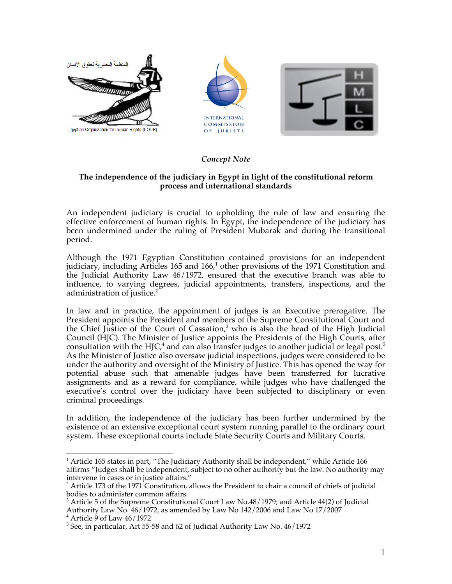

# *Concept Note*

#### **The independence of the judiciary in Egypt in light of the constitutional reform process and international standards**

An independent judiciary is crucial to upholding the rule of law and ensuring the effective enforcement of human rights. In Egypt, the independence of the judiciary has been undermined under the ruling of President Mubarak and during the transitional period.

Although the 1971 Egyptian Constitution contained provisions for an independent judiciary, including Articles 165 and  $166<sup>1</sup>$  other provisions of the 1971 Constitution and the Judicial Authority Law 46/1972, ensured that the executive branch was able to influence, to varying degrees, judicial appointments, transfers, inspections, and the administration of justice.<sup>2</sup>

In law and in practice, the appointment of judges is an Executive prerogative. The President appoints the President and members of the Supreme Constitutional Court and the Chief Justice of the Court of Cassation, <sup>3</sup> who is also the head of the High Judicial Council (HJC). The Minister of Justice appoints the Presidents of the High Courts, after consultation with the HJC,<sup>4</sup> and can also transfer judges to another judicial or legal post.<sup>5</sup> As the Minister of Justice also oversaw judicial inspections, judges were considered to be under the authority and oversight of the Ministry of Justice. This has opened the way for potential abuse such that amenable judges have been transferred for lucrative assignments and as a reward for compliance, while judges who have challenged the executive's control over the judiciary have been subjected to disciplinary or even criminal proceedings.

In addition, the independence of the judiciary has been further undermined by the existence of an extensive exceptional court system running parallel to the ordinary court system. These exceptional courts include State Security Courts and Military Courts.

 $\overline{a}$ <sup>1</sup> Article 165 states in part, "The Judiciary Authority shall be independent," while Article 166 affirms "Judges shall be independent, subject to no other authority but the law. No authority may intervene in cases or in justice affairs."

 $2^2$  Article 173 of the 1971 Constitution, allows the President to chair a council of chiefs of judicial bodies to administer common affairs.

<sup>&</sup>lt;sup>3</sup> Article 5 of the Supreme Constitutional Court Law No.48/1979; and Article 44(2) of Judicial Authority Law No. 46/1972, as amended by Law No 142/2006 and Law No 17/2007<br><sup>4</sup> Article 9 of Law 46/1972

<sup>&</sup>lt;sup>5</sup> See, in particular, Art 55-58 and 62 of Judicial Authority Law No. 46/1972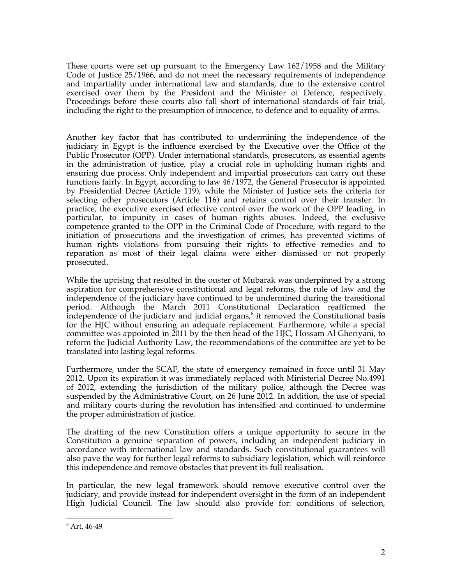These courts were set up pursuant to the Emergency Law 162/1958 and the Military Code of Justice 25/1966, and do not meet the necessary requirements of independence and impartiality under international law and standards, due to the extensive control exercised over them by the President and the Minister of Defence, respectively. Proceedings before these courts also fall short of international standards of fair trial, including the right to the presumption of innocence, to defence and to equality of arms.

Another key factor that has contributed to undermining the independence of the judiciary in Egypt is the influence exercised by the Executive over the Office of the Public Prosecutor (OPP). Under international standards, prosecutors, as essential agents in the administration of justice, play a crucial role in upholding human rights and ensuring due process. Only independent and impartial prosecutors can carry out these functions fairly. In Egypt, according to law 46/1972, the General Prosecutor is appointed by Presidential Decree (Article 119), while the Minister of Justice sets the criteria for selecting other prosecutors (Article 116) and retains control over their transfer. In practice, the executive exercised effective control over the work of the OPP leading, in particular, to impunity in cases of human rights abuses. Indeed, the exclusive competence granted to the OPP in the Criminal Code of Procedure, with regard to the initiation of prosecutions and the investigation of crimes, has prevented victims of human rights violations from pursuing their rights to effective remedies and to reparation as most of their legal claims were either dismissed or not properly prosecuted.

While the uprising that resulted in the ouster of Mubarak was underpinned by a strong aspiration for comprehensive constitutional and legal reforms, the rule of law and the independence of the judiciary have continued to be undermined during the transitional period. Although the March 2011 Constitutional Declaration reaffirmed the independence of the judiciary and judicial organs, <sup>6</sup> it removed the Constitutional basis for the HJC without ensuring an adequate replacement. Furthermore, while a special committee was appointed in 2011 by the then head of the HJC, Hossam Al Gheriyani, to reform the Judicial Authority Law, the recommendations of the committee are yet to be translated into lasting legal reforms.

Furthermore, under the SCAF, the state of emergency remained in force until 31 May 2012. Upon its expiration it was immediately replaced with Ministerial Decree No.4991 of 2012, extending the jurisdiction of the military police, although the Decree was suspended by the Administrative Court, on 26 June 2012. In addition, the use of special and military courts during the revolution has intensified and continued to undermine the proper administration of justice.

The drafting of the new Constitution offers a unique opportunity to secure in the Constitution a genuine separation of powers, including an independent judiciary in accordance with international law and standards. Such constitutional guarantees will also pave the way for further legal reforms to subsidiary legislation, which will reinforce this independence and remove obstacles that prevent its full realisation.

In particular, the new legal framework should remove executive control over the judiciary, and provide instead for independent oversight in the form of an independent High Judicial Council. The law should also provide for: conditions of selection,

 $\overline{a}$  $6$  Art. 46-49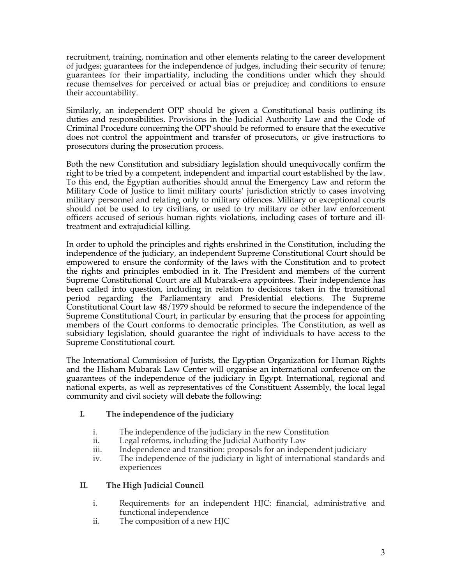recruitment, training, nomination and other elements relating to the career development of judges; guarantees for the independence of judges, including their security of tenure; guarantees for their impartiality, including the conditions under which they should recuse themselves for perceived or actual bias or prejudice; and conditions to ensure their accountability.

Similarly, an independent OPP should be given a Constitutional basis outlining its duties and responsibilities. Provisions in the Judicial Authority Law and the Code of Criminal Procedure concerning the OPP should be reformed to ensure that the executive does not control the appointment and transfer of prosecutors, or give instructions to prosecutors during the prosecution process.

Both the new Constitution and subsidiary legislation should unequivocally confirm the right to be tried by a competent, independent and impartial court established by the law. To this end, the Egyptian authorities should annul the Emergency Law and reform the Military Code of Justice to limit military courts' jurisdiction strictly to cases involving military personnel and relating only to military offences. Military or exceptional courts should not be used to try civilians, or used to try military or other law enforcement officers accused of serious human rights violations, including cases of torture and illtreatment and extrajudicial killing.

In order to uphold the principles and rights enshrined in the Constitution, including the independence of the judiciary, an independent Supreme Constitutional Court should be empowered to ensure the conformity of the laws with the Constitution and to protect the rights and principles embodied in it. The President and members of the current Supreme Constitutional Court are all Mubarak-era appointees. Their independence has been called into question, including in relation to decisions taken in the transitional period regarding the Parliamentary and Presidential elections. The Supreme Constitutional Court law 48/1979 should be reformed to secure the independence of the Supreme Constitutional Court, in particular by ensuring that the process for appointing members of the Court conforms to democratic principles. The Constitution, as well as subsidiary legislation, should guarantee the right of individuals to have access to the Supreme Constitutional court.

The International Commission of Jurists, the Egyptian Organization for Human Rights and the Hisham Mubarak Law Center will organise an international conference on the guarantees of the independence of the judiciary in Egypt. International, regional and national experts, as well as representatives of the Constituent Assembly, the local legal community and civil society will debate the following:

#### **I. The independence of the judiciary**

- i. The independence of the judiciary in the new Constitution
- ii. Legal reforms, including the Judicial Authority Law
- iii. Independence and transition: proposals for an independent judiciary
- iv. The independence of the judiciary in light of international standards and experiences

#### **II. The High Judicial Council**

- i. Requirements for an independent HJC: financial, administrative and functional independence
- ii. The composition of a new HJC